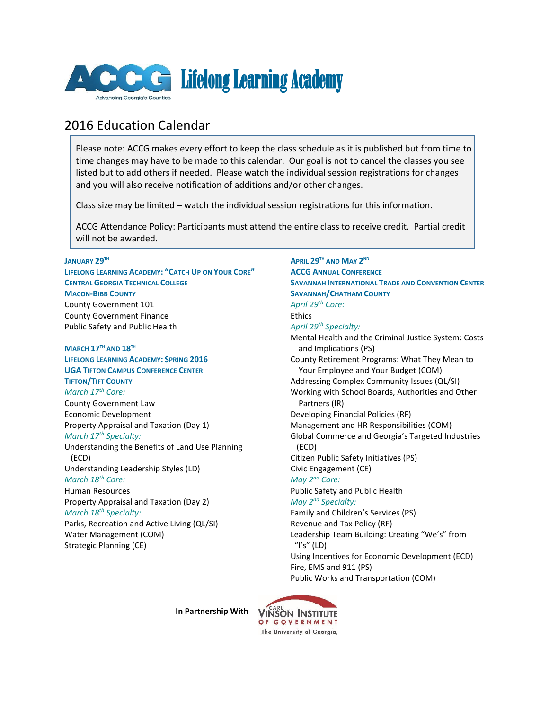

# 2016 Education Calendar

 Please note: ACCG makes every effort to keep the class schedule as it is published but from time to time changes may have to be made to this calendar. Our goal is not to cancel the classes you see listed but to add others if needed. Please watch the individual session registrations for changes and you will also receive notification of additions and/or other changes.

Class size may be limited – watch the individual session registrations for this information.

 ACCG Attendance Policy: Participants must attend the entire class to receive credit. Partial credit will not be awarded.

### **JANUARY 29TH**

**LIFELONG LEARNING ACADEMY: "CATCH UP ON YOUR CORE" CENTRAL GEORGIA TECHNICAL COLLEGE MACON-BIBB COUNTY**

County Government 101 County Government Finance Public Safety and Public Health

**MARCH 17TH AND 18TH LIFELONG LEARNING ACADEMY: SPRING 2016 UGA TIFTON CAMPUS CONFERENCE CENTER TIFTON/TIFT COUNTY** *March 17th Core:* County Government Law Economic Development Property Appraisal and Taxation (Day 1) *March 17th Specialty:* Understanding the Benefits of Land Use Planning (ECD) Understanding Leadership Styles (LD) *March 18th Core:* Human Resources Property Appraisal and Taxation (Day 2) *March 18th Specialty:* Parks, Recreation and Active Living (QL/SI) Water Management (COM) Strategic Planning (CE)

 $APRIL$   $29<sup>TH</sup>$  and **M**ay  $2<sup>ND</sup>$ **ACCG ANNUAL CONFERENCE SAVANNAH INTERNATIONAL TRADE AND CONVENTION CENTER SAVANNAH/CHATHAM COUNTY** *April 29th Core:* Ethics *April 29th Specialty:* Mental Health and the Criminal Justice System: Costs and Implications (PS) County Retirement Programs: What They Mean to Your Employee and Your Budget (COM) Addressing Complex Community Issues (QL/SI) Working with School Boards, Authorities and Other Partners (IR) Developing Financial Policies (RF) Management and HR Responsibilities (COM) Global Commerce and Georgia's Targeted Industries (ECD) Citizen Public Safety Initiatives (PS) Civic Engagement (CE) *May 2nd Core:* Public Safety and Public Health *May 2nd Specialty:* Family and Children's Services (PS) Revenue and Tax Policy (RF) Leadership Team Building: Creating "We's" from "I's"  $(LD)$ Using Incentives for Economic Development (ECD)

 **In Partnership With**



Fire, EMS and 911 (PS)

Public Works and Transportation (COM)